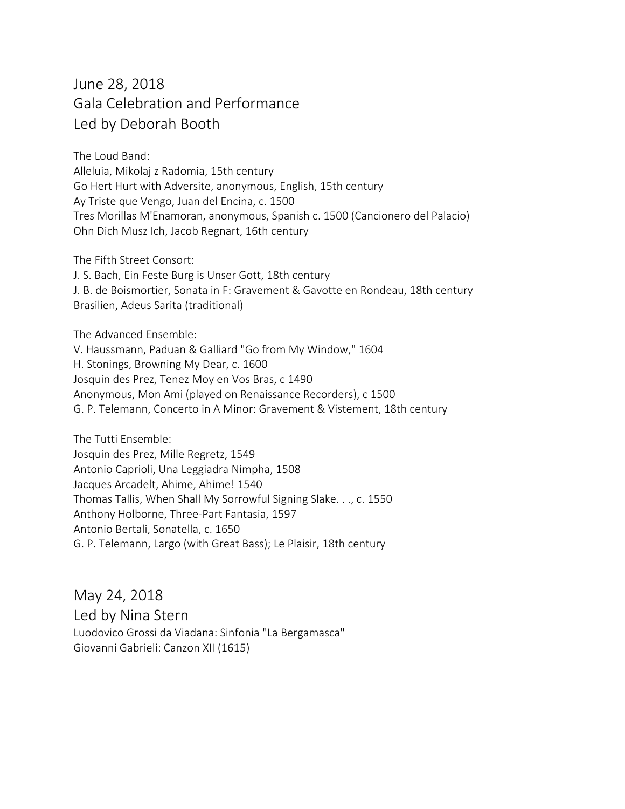## June 28, 2018 Gala Celebration and Performance Led by Deborah Booth

The Loud Band: Alleluia, Mikolaj z Radomia, 15th century Go Hert Hurt with Adversite, anonymous, English, 15th century Ay Triste que Vengo, Juan del Encina, c. 1500 Tres Morillas M'Enamoran, anonymous, Spanish c. 1500 (Cancionero del Palacio) Ohn Dich Musz Ich, Jacob Regnart, 16th century

The Fifth Street Consort: J. S. Bach, Ein Feste Burg is Unser Gott, 18th century J. B. de Boismortier, Sonata in F: Gravement & Gavotte en Rondeau, 18th century Brasilien, Adeus Sarita (traditional)

The Advanced Ensemble: V. Haussmann, Paduan & Galliard "Go from My Window," 1604 H. Stonings, Browning My Dear, c. 1600 Josquin des Prez, Tenez Moy en Vos Bras, c 1490 Anonymous, Mon Ami (played on Renaissance Recorders), c 1500 G. P. Telemann, Concerto in A Minor: Gravement & Vistement, 18th century

The Tutti Ensemble: Josquin des Prez, Mille Regretz, 1549 Antonio Caprioli, Una Leggiadra Nimpha, 1508 Jacques Arcadelt, Ahime, Ahime! 1540 Thomas Tallis, When Shall My Sorrowful Signing Slake. . ., c. 1550 Anthony Holborne, Three-Part Fantasia, 1597 Antonio Bertali, Sonatella, c. 1650 G. P. Telemann, Largo (with Great Bass); Le Plaisir, 18th century

May 24, 2018 Led by Nina Stern Luodovico Grossi da Viadana: Sinfonia "La Bergamasca" Giovanni Gabrieli: Canzon XII (1615)